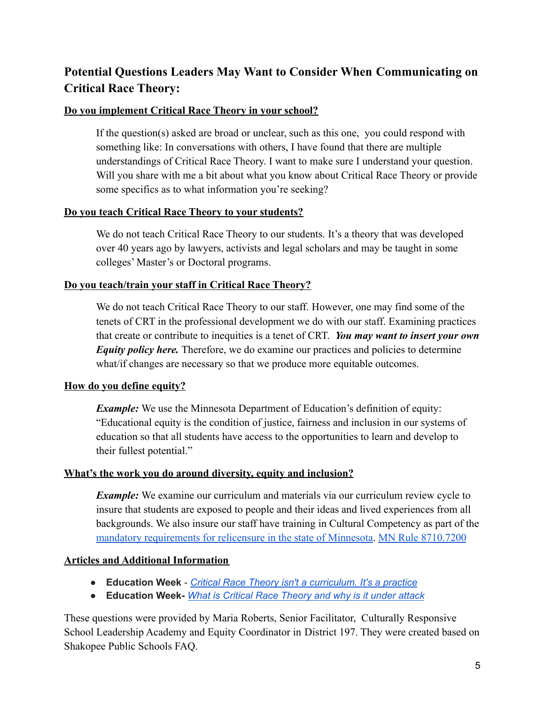# **Potential Questions Leaders May Want to Consider When Communicating on Critical Race Theory:**

## **Do you implement Critical Race Theory in your school?**

If the question(s) asked are broad or unclear, such as this one, you could respond with something like: In conversations with others, I have found that there are multiple understandings of Critical Race Theory. I want to make sure I understand your question. Will you share with me a bit about what you know about Critical Race Theory or provide some specifics as to what information you're seeking?

## **Do you teach Critical Race Theory to your students?**

We do not teach Critical Race Theory to our students. It's a theory that was developed over 40 years ago by lawyers, activists and legal scholars and may be taught in some colleges' Master's or Doctoral programs.

## **Do you teach/train your staff in Critical Race Theory?**

We do not teach Critical Race Theory to our staff. However, one may find some of the tenets of CRT in the professional development we do with our staff. Examining practices that create or contribute to inequities is a tenet of CRT. *You may want to insert your own Equity policy here.* Therefore, we do examine our practices and policies to determine what/if changes are necessary so that we produce more equitable outcomes.

## **How do you define equity?**

*Example:* We use the Minnesota Department of Education's definition of equity: "Educational equity is the condition of justice, fairness and inclusion in our systems of education so that all students have access to the opportunities to learn and develop to their fullest potential."

### **What's the work you do around diversity, equity and inclusion?**

*Example:* We examine our curriculum and materials via our curriculum review cycle to insure that students are exposed to people and their ideas and lived experiences from all backgrounds. We also insure our staff have training in Cultural Competency as part of the [mandatory requirements for relicensure in the state](https://mn.gov/pelsb/current-educators/renew/) of Minnesota. [MN Rule 8710.7200](https://www.revisor.mn.gov/rules/8710.7200/)

## **Articles and Additional Information**

- **Education Week** *Critical Race Theory isn't a [curriculum.](https://www.edweek.org/leadership/opinion-critical-race-theory-isnt-a-curriculum-its-a-practice/2021/05?utm_source=tw&utm_medium=soc&utm_campaign=edit) It's a practice*
- **Education Week-** *What is Critical Race [Theory](https://www.edweek.org/leadership/what-is-critical-race-theory-and-why-is-it-under-attack/2021/05) and why is it under attack*

These questions were provided by Maria Roberts, Senior Facilitator, Culturally Responsive School Leadership Academy and Equity Coordinator in District 197. They were created based on Shakopee Public Schools FAQ.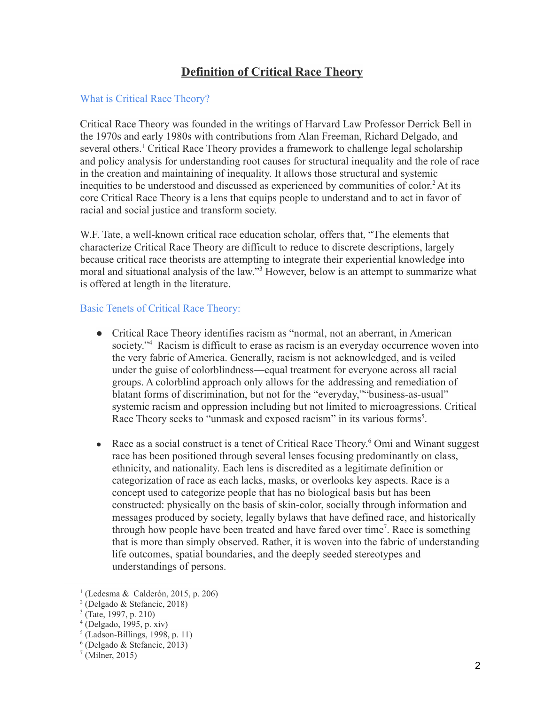## **Definition of Critical Race Theory**

### What is Critical Race Theory?

Critical Race Theory was founded in the writings of Harvard Law Professor Derrick Bell in the 1970s and early 1980s with contributions from Alan Freeman, Richard Delgado, and several others.<sup>1</sup> Critical Race Theory provides a framework to challenge legal scholarship and policy analysis for understanding root causes for structural inequality and the role of race in the creation and maintaining of inequality. It allows those structural and systemic inequities to be understood and discussed as experienced by communities of color. <sup>2</sup> At its core Critical Race Theory is a lens that equips people to understand and to act in favor of racial and social justice and transform society.

W.F. Tate, a well-known critical race education scholar, offers that, "The elements that characterize Critical Race Theory are difficult to reduce to discrete descriptions, largely because critical race theorists are attempting to integrate their experiential knowledge into moral and situational analysis of the law."<sup>3</sup> However, below is an attempt to summarize what is offered at length in the literature.

### Basic Tenets of Critical Race Theory:

- Critical Race Theory identifies racism as "normal, not an aberrant, in American society."<sup>4</sup> Racism is difficult to erase as racism is an everyday occurrence woven into the very fabric of America. Generally, racism is not acknowledged, and is veiled under the guise of colorblindness—equal treatment for everyone across all racial groups. A colorblind approach only allows for the addressing and remediation of blatant forms of discrimination, but not for the "everyday,""business-as-usual" systemic racism and oppression including but not limited to microagressions. Critical Race Theory seeks to "unmask and exposed racism" in its various forms<sup>5</sup>.
- Race as a social construct is a tenet of Critical Race Theory.<sup>6</sup> Omi and Winant suggest race has been positioned through several lenses focusing predominantly on class, ethnicity, and nationality. Each lens is discredited as a legitimate definition or categorization of race as each lacks, masks, or overlooks key aspects. Race is a concept used to categorize people that has no biological basis but has been constructed: physically on the basis of skin-color, socially through information and messages produced by society, legally bylaws that have defined race, and historically through how people have been treated and have fared over time<sup>7</sup>. Race is something that is more than simply observed. Rather, it is woven into the fabric of understanding life outcomes, spatial boundaries, and the deeply seeded stereotypes and understandings of persons.

<sup>1</sup> (Ledesma & Calderón, 2015, p. 206)

<sup>2</sup> (Delgado & Stefancic, 2018)

<sup>3</sup> (Tate, 1997, p. 210)

<sup>4</sup> (Delgado, 1995, p. xiv)

<sup>5</sup> (Ladson-Billings, 1998, p. 11)

<sup>6</sup> (Delgado & Stefancic, 2013)

 $<sup>7</sup>$  (Milner, 2015)</sup>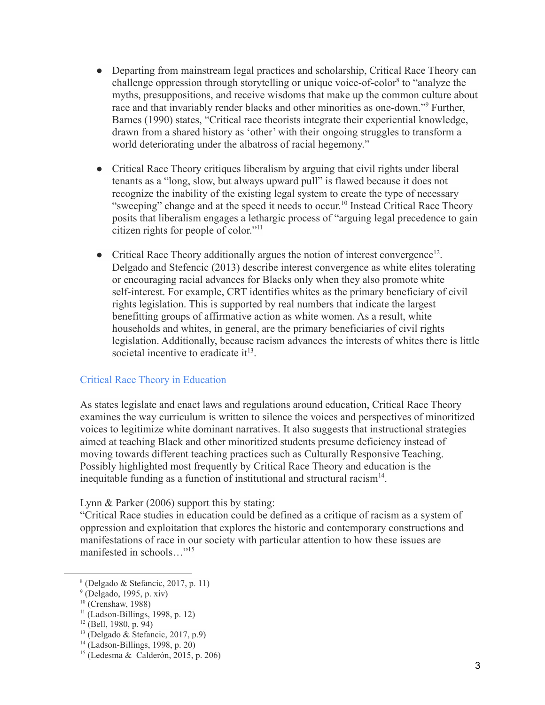- Departing from mainstream legal practices and scholarship, Critical Race Theory can challenge oppression through storytelling or unique voice-of-color<sup>8</sup> to "analyze the myths, presuppositions, and receive wisdoms that make up the common culture about race and that invariably render blacks and other minorities as one-down."<sup>9</sup> Further, Barnes (1990) states, "Critical race theorists integrate their experiential knowledge, drawn from a shared history as 'other' with their ongoing struggles to transform a world deteriorating under the albatross of racial hegemony."
- Critical Race Theory critiques liberalism by arguing that civil rights under liberal tenants as a "long, slow, but always upward pull" is flawed because it does not recognize the inability of the existing legal system to create the type of necessary "sweeping" change and at the speed it needs to occur.<sup>10</sup> Instead Critical Race Theory posits that liberalism engages a lethargic process of "arguing legal precedence to gain citizen rights for people of color."<sup>11</sup>
- Critical Race Theory additionally argues the notion of interest convergence<sup>12</sup>. Delgado and Stefencic (2013) describe interest convergence as white elites tolerating or encouraging racial advances for Blacks only when they also promote white self-interest. For example, CRT identifies whites as the primary beneficiary of civil rights legislation. This is supported by real numbers that indicate the largest benefitting groups of affirmative action as white women. As a result, white households and whites, in general, are the primary beneficiaries of civil rights legislation. Additionally, because racism advances the interests of whites there is little societal incentive to eradicate it<sup>13</sup>.

### Critical Race Theory in Education

As states legislate and enact laws and regulations around education, Critical Race Theory examines the way curriculum is written to silence the voices and perspectives of minoritized voices to legitimize white dominant narratives. It also suggests that instructional strategies aimed at teaching Black and other minoritized students presume deficiency instead of moving towards different teaching practices such as Culturally Responsive Teaching. Possibly highlighted most frequently by Critical Race Theory and education is the inequitable funding as a function of institutional and structural racism $<sup>14</sup>$ .</sup>

Lynn & Parker (2006) support this by stating:

"Critical Race studies in education could be defined as a critique of racism as a system of oppression and exploitation that explores the historic and contemporary constructions and manifestations of race in our society with particular attention to how these issues are manifested in schools…"<sup>15</sup>

<sup>8</sup> (Delgado & Stefancic, 2017, p. 11)

 $<sup>9</sup>$  (Delgado, 1995, p. xiv)</sup>

 $10$  (Crenshaw, 1988)

<sup>11</sup> (Ladson-Billings, 1998, p. 12)

 $12$  (Bell, 1980, p. 94)

 $^{13}$  (Delgado & Stefancic, 2017, p.9)

 $14$  (Ladson-Billings, 1998, p. 20)

<sup>15</sup> (Ledesma & Calderón, 2015, p. 206)